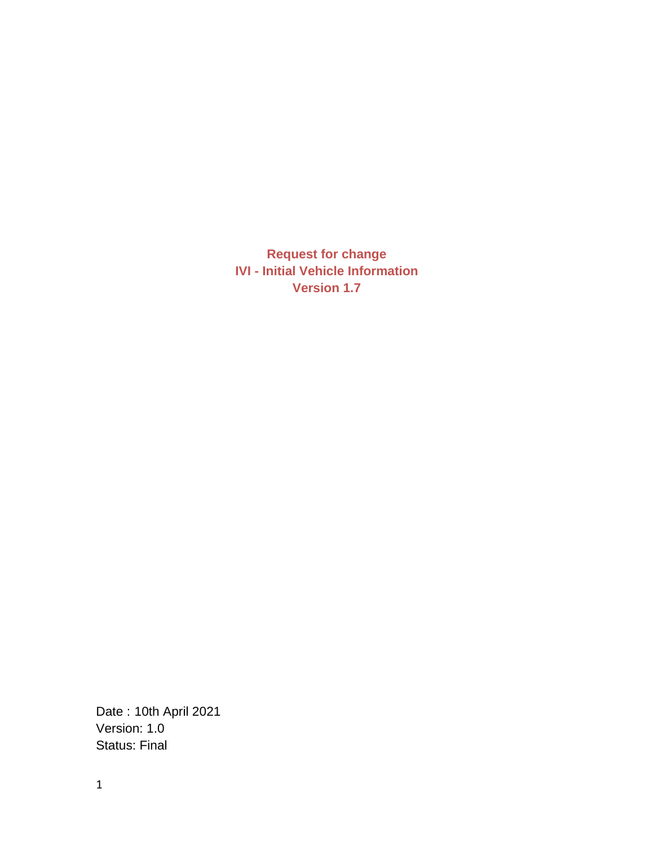**Request for change IVI - Initial Vehicle Information Version 1.7**

Date : 10th April 2021 Version: 1.0 Status: Final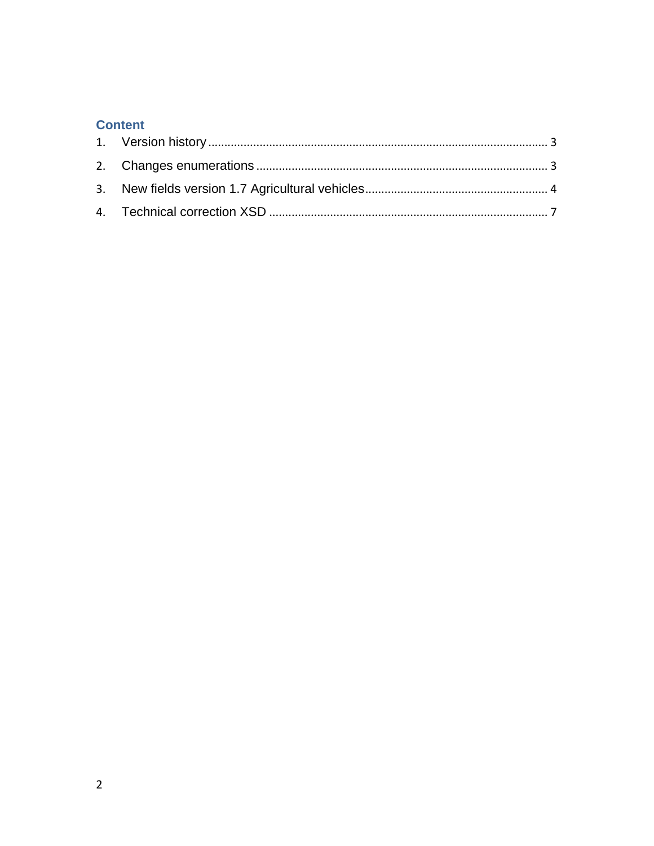### **Content**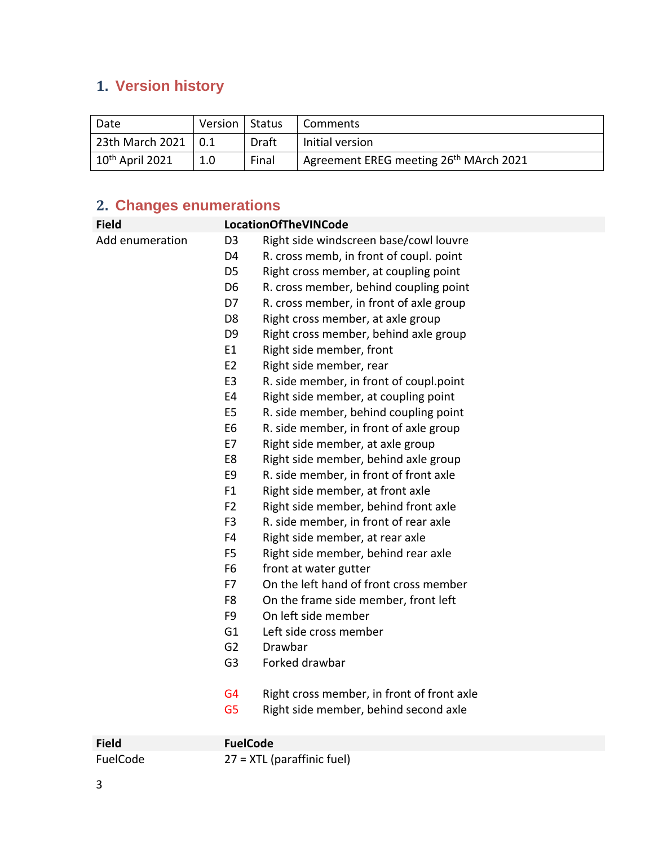# <span id="page-2-0"></span>**1. Version history**

| Date                 | Version   Status |       | Comments                                           |
|----------------------|------------------|-------|----------------------------------------------------|
| 23th March 2021      |                  | Draft | Initial version                                    |
| $10^{th}$ April 2021 | 1.0              | Final | Agreement EREG meeting 26 <sup>th</sup> MArch 2021 |

## <span id="page-2-1"></span>**2. Changes enumerations**

| <b>Field</b>    |                | <b>LocationOfTheVINCode</b>                |
|-----------------|----------------|--------------------------------------------|
| Add enumeration | D <sub>3</sub> | Right side windscreen base/cowl louvre     |
|                 | D <sub>4</sub> | R. cross memb, in front of coupl. point    |
|                 | D <sub>5</sub> | Right cross member, at coupling point      |
|                 | D <sub>6</sub> | R. cross member, behind coupling point     |
|                 | D7             | R. cross member, in front of axle group    |
|                 | D <sub>8</sub> | Right cross member, at axle group          |
|                 | D <sub>9</sub> | Right cross member, behind axle group      |
|                 | E1             | Right side member, front                   |
|                 | E <sub>2</sub> | Right side member, rear                    |
|                 | E <sub>3</sub> | R. side member, in front of coupl.point    |
|                 | E4             | Right side member, at coupling point       |
|                 | E <sub>5</sub> | R. side member, behind coupling point      |
|                 | E <sub>6</sub> | R. side member, in front of axle group     |
|                 | E7             | Right side member, at axle group           |
|                 | E8             | Right side member, behind axle group       |
|                 | E9             | R. side member, in front of front axle     |
|                 | F1             | Right side member, at front axle           |
|                 | F <sub>2</sub> | Right side member, behind front axle       |
|                 | F <sub>3</sub> | R. side member, in front of rear axle      |
|                 | F4             | Right side member, at rear axle            |
|                 | F5             | Right side member, behind rear axle        |
|                 | F <sub>6</sub> | front at water gutter                      |
|                 | F7             | On the left hand of front cross member     |
|                 | F8             | On the frame side member, front left       |
|                 | F <sub>9</sub> | On left side member                        |
|                 | G <sub>1</sub> | Left side cross member                     |
|                 | G <sub>2</sub> | Drawbar                                    |
|                 | G <sub>3</sub> | Forked drawbar                             |
|                 | G <sub>4</sub> | Right cross member, in front of front axle |
|                 | G <sub>5</sub> | Right side member, behind second axle      |

| <b>Field</b> | FuelCode                     |
|--------------|------------------------------|
| FuelCode     | $27 = XTL$ (paraffinic fuel) |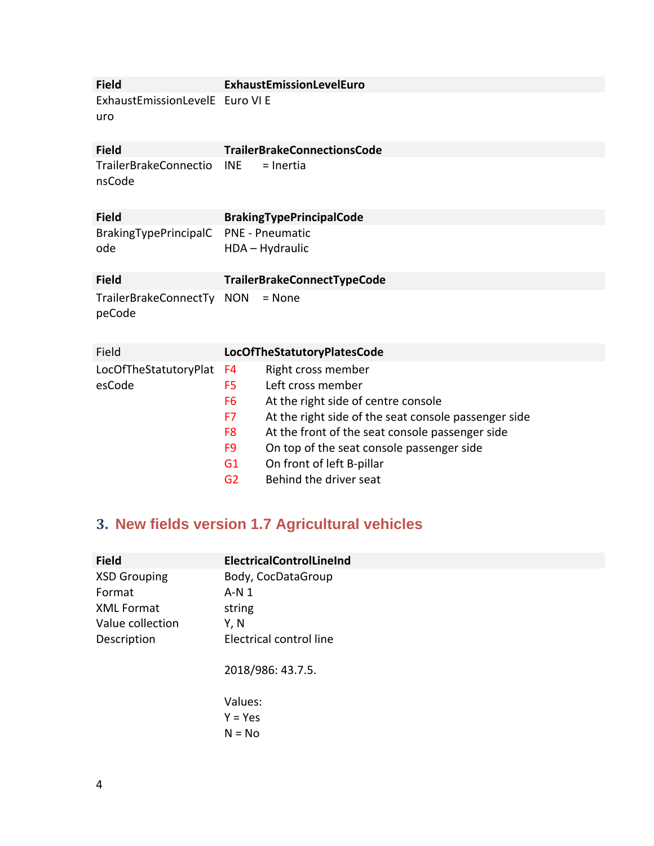| <b>Field</b>                           | ExhaustEmissionLevelEuro                                          |
|----------------------------------------|-------------------------------------------------------------------|
| ExhaustEmissionLevelE Euro VI E<br>uro |                                                                   |
| <b>Field</b>                           | <b>TrailerBrakeConnectionsCode</b>                                |
| <b>TrailerBrakeConnectio</b><br>nsCode | <b>INE</b><br>= Inertia                                           |
| <b>Field</b>                           | <b>BrakingTypePrincipalCode</b>                                   |
| BrakingTypePrincipalC<br>ode           | <b>PNE - Pneumatic</b><br>HDA - Hydraulic                         |
| <b>Field</b>                           | TrailerBrakeConnectTypeCode                                       |
| TrailerBrakeConnectTy NON<br>peCode    | $=$ None                                                          |
| Field                                  | LocOfTheStatutoryPlatesCode                                       |
| LocOfTheStatutoryPlat                  | Right cross member<br>F4                                          |
| esCode                                 | Left cross member<br>F5                                           |
|                                        | At the right side of centre console<br>F <sub>6</sub>             |
|                                        | At the right side of the seat console passenger side<br>F7        |
|                                        | At the front of the seat console passenger side<br>F <sub>8</sub> |

- F9 On top of the seat console passenger side
- G1 On front of left B-pillar
- G2 Behind the driver seat

## <span id="page-3-0"></span>**3. New fields version 1.7 Agricultural vehicles**

| <b>Field</b>        | ElectricalControlLineInd |
|---------------------|--------------------------|
| <b>XSD Grouping</b> | Body, CocDataGroup       |
| Format              | $A-N1$                   |
| <b>XML Format</b>   | string                   |
| Value collection    | Y, N                     |
| Description         | Electrical control line  |
|                     | 2018/986: 43.7.5.        |
|                     | Values:                  |
|                     | $Y = Yes$                |
|                     | $N = No$                 |
|                     |                          |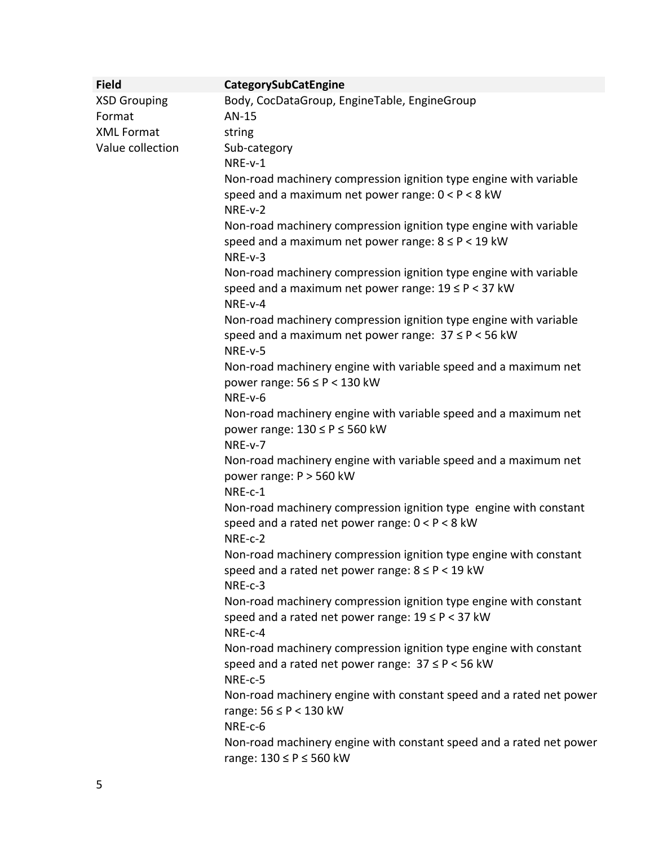| <b>Field</b>        | CategorySubCatEngine                                                                                              |
|---------------------|-------------------------------------------------------------------------------------------------------------------|
| <b>XSD Grouping</b> | Body, CocDataGroup, EngineTable, EngineGroup                                                                      |
| Format              | AN-15                                                                                                             |
| <b>XML Format</b>   | string                                                                                                            |
| Value collection    | Sub-category                                                                                                      |
|                     | NRE-v-1                                                                                                           |
|                     | Non-road machinery compression ignition type engine with variable                                                 |
|                     | speed and a maximum net power range: $0 < P < 8$ kW<br>NRE-v-2                                                    |
|                     | Non-road machinery compression ignition type engine with variable                                                 |
|                     | speed and a maximum net power range: $8 \le P < 19$ kW<br>NRE-v-3                                                 |
|                     | Non-road machinery compression ignition type engine with variable                                                 |
|                     | speed and a maximum net power range: $19 \le P < 37$ kW<br>NRE-v-4                                                |
|                     | Non-road machinery compression ignition type engine with variable                                                 |
|                     | speed and a maximum net power range: $37 \le P < 56$ kW<br>NRE-v-5                                                |
|                     | Non-road machinery engine with variable speed and a maximum net                                                   |
|                     | power range: $56 \leq P < 130$ kW                                                                                 |
|                     | NRE-v-6                                                                                                           |
|                     | Non-road machinery engine with variable speed and a maximum net<br>power range: $130 \le P \le 560$ kW<br>NRE-v-7 |
|                     | Non-road machinery engine with variable speed and a maximum net                                                   |
|                     | power range: P > 560 kW<br>NRE-c-1                                                                                |
|                     | Non-road machinery compression ignition type engine with constant                                                 |
|                     | speed and a rated net power range: $0 < P < 8$ kW<br>NRE-c-2                                                      |
|                     | Non-road machinery compression ignition type engine with constant                                                 |
|                     | speed and a rated net power range: $8 \le P < 19$ kW<br>NRE-c-3                                                   |
|                     | Non-road machinery compression ignition type engine with constant                                                 |
|                     | speed and a rated net power range: $19 \le P < 37$ kW<br>NRE-c-4                                                  |
|                     | Non-road machinery compression ignition type engine with constant                                                 |
|                     | speed and a rated net power range: $37 \le P < 56$ kW<br>NRE-c-5                                                  |
|                     | Non-road machinery engine with constant speed and a rated net power<br>range: $56 \leq P < 130$ kW                |
|                     | NRE-c-6                                                                                                           |
|                     | Non-road machinery engine with constant speed and a rated net power<br>range: 130 ≤ P ≤ 560 kW                    |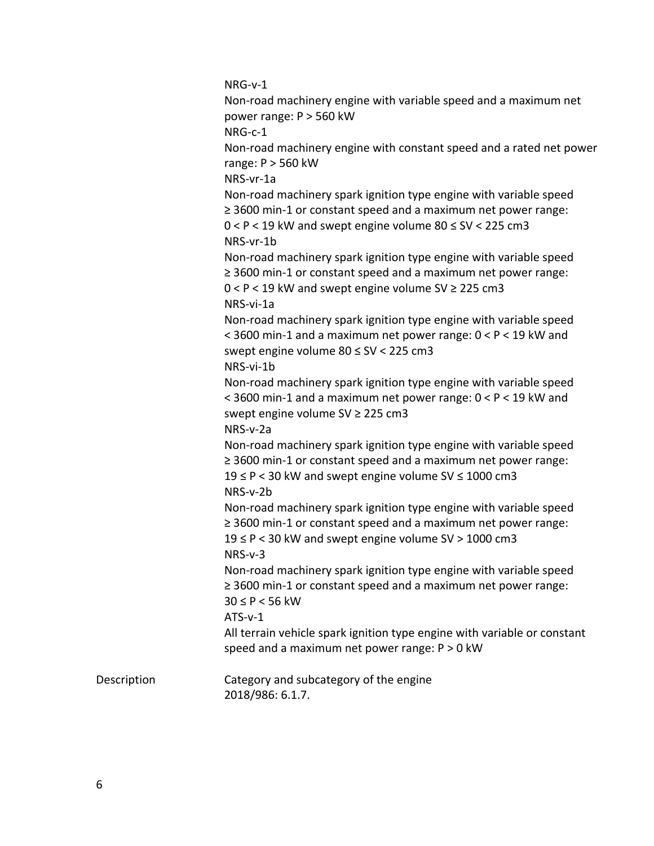|             | NRG-v-1                                                                                                                                                                                                                |
|-------------|------------------------------------------------------------------------------------------------------------------------------------------------------------------------------------------------------------------------|
|             | Non-road machinery engine with variable speed and a maximum net                                                                                                                                                        |
|             | power range: P > 560 kW                                                                                                                                                                                                |
|             | NRG-c-1                                                                                                                                                                                                                |
|             | Non-road machinery engine with constant speed and a rated net power<br>range: $P > 560$ kW                                                                                                                             |
|             | NRS-vr-1a                                                                                                                                                                                                              |
|             | Non-road machinery spark ignition type engine with variable speed<br>$\geq$ 3600 min-1 or constant speed and a maximum net power range:<br>$0 < P < 19$ kW and swept engine volume 80 $\leq$ SV < 225 cm3<br>NRS-vr-1b |
|             | Non-road machinery spark ignition type engine with variable speed<br>$\geq$ 3600 min-1 or constant speed and a maximum net power range:<br>$0 < P < 19$ kW and swept engine volume SV $\geq$ 225 cm3<br>NRS-vi-1a      |
|             | Non-road machinery spark ignition type engine with variable speed<br>< 3600 min-1 and a maximum net power range: $0 < P < 19$ kW and<br>swept engine volume 80 ≤ SV < 225 cm3<br>NRS-vi-1b                             |
|             | Non-road machinery spark ignition type engine with variable speed<br>< 3600 min-1 and a maximum net power range: 0 < P < 19 kW and<br>swept engine volume SV ≥ 225 cm3<br>NRS-v-2a                                     |
|             | Non-road machinery spark ignition type engine with variable speed<br>≥ 3600 min-1 or constant speed and a maximum net power range:<br>$19 \leq P < 30$ kW and swept engine volume SV $\leq 1000$ cm3<br>NRS-v-2b       |
|             | Non-road machinery spark ignition type engine with variable speed<br>$\geq$ 3600 min-1 or constant speed and a maximum net power range:<br>19 ≤ P < 30 kW and swept engine volume SV > 1000 cm3<br>$NRS-v-3$           |
|             | Non-road machinery spark ignition type engine with variable speed<br>$\geq$ 3600 min-1 or constant speed and a maximum net power range:<br>$30 \le P < 56$ kW                                                          |
|             | $ATS-v-1$<br>All terrain vehicle spark ignition type engine with variable or constant<br>speed and a maximum net power range: $P > 0$ kW                                                                               |
| Description | Category and subcategory of the engine<br>2018/986: 6.1.7.                                                                                                                                                             |